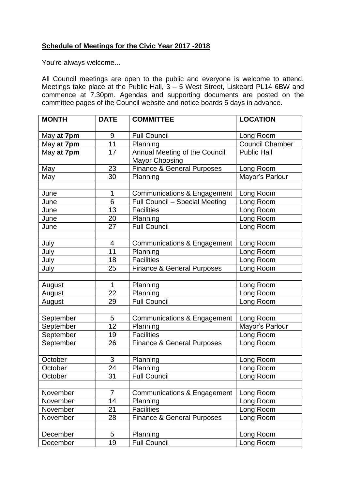## **Schedule of Meetings for the Civic Year 2017 -2018**

You're always welcome...

All Council meetings are open to the public and everyone is welcome to attend. Meetings take place at the Public Hall,  $3 - 5$  West Street, Liskeard PL14 6BW and commence at 7.30pm. Agendas and supporting documents are posted on the committee pages of the Council website and notice boards 5 days in advance.

| <b>MONTH</b> | <b>DATE</b>              | <b>COMMITTEE</b>                       | <b>LOCATION</b>        |
|--------------|--------------------------|----------------------------------------|------------------------|
| May at 7pm   | 9                        | <b>Full Council</b>                    | Long Room              |
| May at 7pm   | 11                       | Planning                               | <b>Council Chamber</b> |
| May at 7pm   | 17                       | Annual Meeting of the Council          | <b>Public Hall</b>     |
|              |                          | <b>Mayor Choosing</b>                  |                        |
| May          | 23                       | <b>Finance &amp; General Purposes</b>  | Long Room              |
| May          | 30                       | Planning                               | Mayor's Parlour        |
|              |                          |                                        |                        |
| June         | 1                        | <b>Communications &amp; Engagement</b> | Long Room              |
| June         | 6                        | Full Council - Special Meeting         | Long Room              |
| June         | 13                       | <b>Facilities</b>                      | Long Room              |
| June         | 20                       | Planning                               | Long Room              |
| June         | 27                       | <b>Full Council</b>                    | Long Room              |
|              |                          |                                        |                        |
| July         | $\overline{\mathcal{A}}$ | <b>Communications &amp; Engagement</b> | Long Room              |
| July         | 11                       | Planning                               | Long Room              |
| July         | 18                       | <b>Facilities</b>                      | Long Room              |
| July         | 25                       | <b>Finance &amp; General Purposes</b>  | Long Room              |
|              |                          |                                        |                        |
| August       | 1                        | Planning                               | Long Room              |
| August       | 22                       | Planning                               | Long Room              |
| August       | 29                       | <b>Full Council</b>                    | Long Room              |
|              |                          |                                        |                        |
| September    | 5                        | <b>Communications &amp; Engagement</b> | Long Room              |
| September    | 12                       | Planning                               | Mayor's Parlour        |
| September    | 19                       | <b>Facilities</b>                      | Long Room              |
| September    | 26                       | <b>Finance &amp; General Purposes</b>  | Long Room              |
|              |                          |                                        |                        |
| October      | $\mathfrak{S}$           | Planning                               | Long Room              |
| October      | 24                       | Planning                               | Long Room              |
| October      | 31                       | <b>Full Council</b>                    | Long Room              |
|              |                          |                                        |                        |
| November     | $\overline{7}$           | Communications & Engagement            | Long Room              |
| November     | 14                       | Planning                               | Long Room              |
| November     | 21                       | <b>Facilities</b>                      | Long Room              |
| November     | 28                       | <b>Finance &amp; General Purposes</b>  | Long Room              |
|              |                          |                                        |                        |
| December     | 5                        | Planning                               | Long Room              |
| December     | 19                       | <b>Full Council</b>                    | Long Room              |